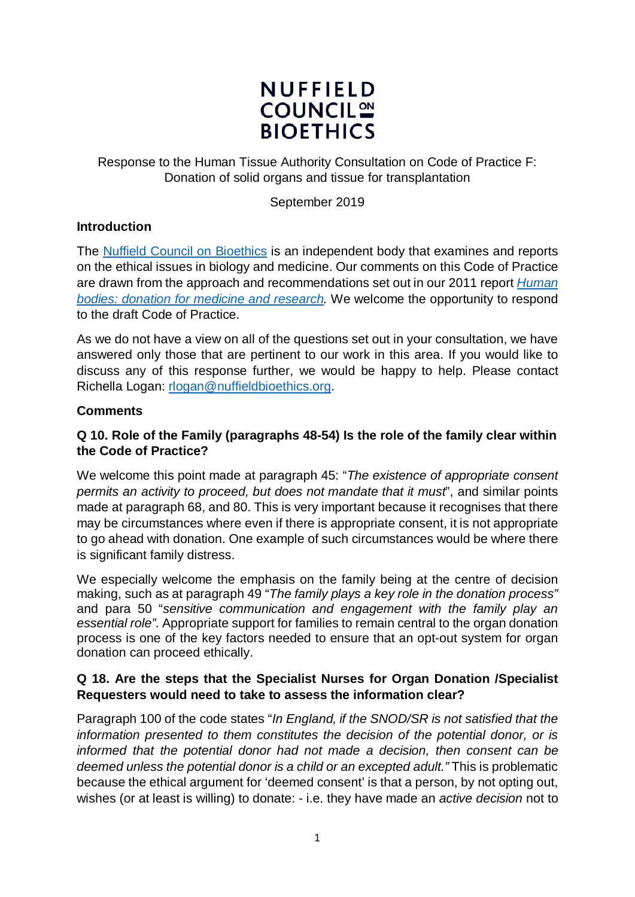

Response to the Human Tissue Authority Consultation on Code of Practice F: Donation of solid organs and tissue for transplantation

# September 2019

### **Introduction**

The [Nuffield Council on Bioethics](http://nuffieldbioethics.org/) is an independent body that examines and reports on the ethical issues in biology and medicine. Our comments on this Code of Practice are drawn from the approach and recommendations set out in our 2011 report *[Human](http://nuffieldbioethics.org/project/donation)  [bodies: donation for medicine and research.](http://nuffieldbioethics.org/project/donation)* We welcome the opportunity to respond to the draft Code of Practice.

As we do not have a view on all of the questions set out in your consultation, we have answered only those that are pertinent to our work in this area. If you would like to discuss any of this response further, we would be happy to help. Please contact Richella Logan: [rlogan@nuffieldbioethics.org.](mailto:rlogan@nuffieldbioethics.org)

#### **Comments**

# **Q 10. Role of the Family (paragraphs 48-54) Is the role of the family clear within the Code of Practice?**

We welcome this point made at paragraph 45: "*The existence of appropriate consent permits an activity to proceed, but does not mandate that it must*", and similar points made at paragraph 68, and 80. This is very important because it recognises that there may be circumstances where even if there is appropriate consent, it is not appropriate to go ahead with donation. One example of such circumstances would be where there is significant family distress.

We especially welcome the emphasis on the family being at the centre of decision making, such as at paragraph 49 "*The family plays a key role in the donation process"* and para 50 "*sensitive communication and engagement with the family play an essential role"*. Appropriate support for families to remain central to the organ donation process is one of the key factors needed to ensure that an opt-out system for organ donation can proceed ethically.

### **Q 18. Are the steps that the Specialist Nurses for Organ Donation /Specialist Requesters would need to take to assess the information clear?**

Paragraph 100 of the code states "*In England, if the SNOD/SR is not satisfied that the information presented to them constitutes the decision of the potential donor, or is informed that the potential donor had not made a decision, then consent can be deemed unless the potential donor is a child or an excepted adult."* This is problematic because the ethical argument for 'deemed consent' is that a person, by not opting out, wishes (or at least is willing) to donate: - i.e. they have made an *active decision* not to